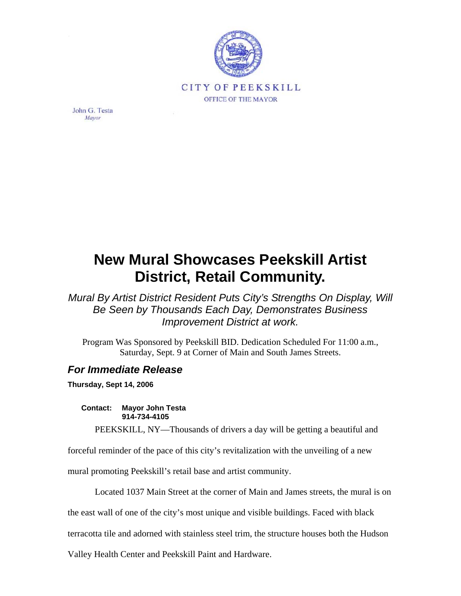

John G. Testa Mayor

## **New Mural Showcases Peekskill Artist District, Retail Community.**

*Mural By Artist District Resident Puts City's Strengths On Display, Will Be Seen by Thousands Each Day, Demonstrates Business Improvement District at work.* 

Program Was Sponsored by Peekskill BID. Dedication Scheduled For 11:00 a.m., Saturday, Sept. 9 at Corner of Main and South James Streets.

## *For Immediate Release*

**Thursday, Sept 14, 2006** 

**Contact: Mayor John Testa 914-734-4105** 

PEEKSKILL, NY—Thousands of drivers a day will be getting a beautiful and

forceful reminder of the pace of this city's revitalization with the unveiling of a new

mural promoting Peekskill's retail base and artist community.

Located 1037 Main Street at the corner of Main and James streets, the mural is on

the east wall of one of the city's most unique and visible buildings. Faced with black

terracotta tile and adorned with stainless steel trim, the structure houses both the Hudson

Valley Health Center and Peekskill Paint and Hardware.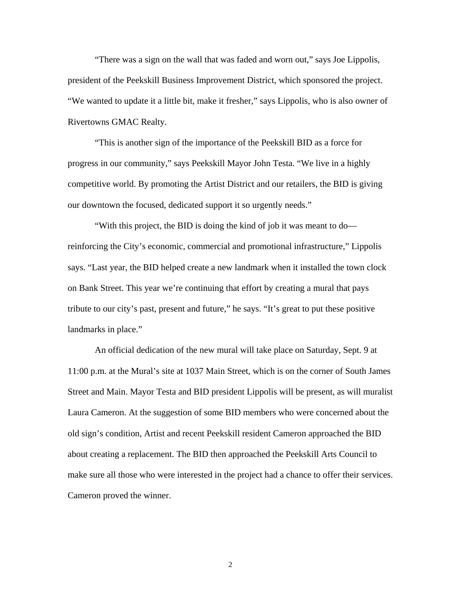"There was a sign on the wall that was faded and worn out," says Joe Lippolis, president of the Peekskill Business Improvement District, which sponsored the project. "We wanted to update it a little bit, make it fresher," says Lippolis, who is also owner of Rivertowns GMAC Realty.

"This is another sign of the importance of the Peekskill BID as a force for progress in our community," says Peekskill Mayor John Testa. "We live in a highly competitive world. By promoting the Artist District and our retailers, the BID is giving our downtown the focused, dedicated support it so urgently needs."

"With this project, the BID is doing the kind of job it was meant to do reinforcing the City's economic, commercial and promotional infrastructure," Lippolis says. "Last year, the BID helped create a new landmark when it installed the town clock on Bank Street. This year we're continuing that effort by creating a mural that pays tribute to our city's past, present and future," he says. "It's great to put these positive landmarks in place."

An official dedication of the new mural will take place on Saturday, Sept. 9 at 11:00 p.m. at the Mural's site at 1037 Main Street, which is on the corner of South James Street and Main. Mayor Testa and BID president Lippolis will be present, as will muralist Laura Cameron. At the suggestion of some BID members who were concerned about the old sign's condition, Artist and recent Peekskill resident Cameron approached the BID about creating a replacement. The BID then approached the Peekskill Arts Council to make sure all those who were interested in the project had a chance to offer their services. Cameron proved the winner.

2